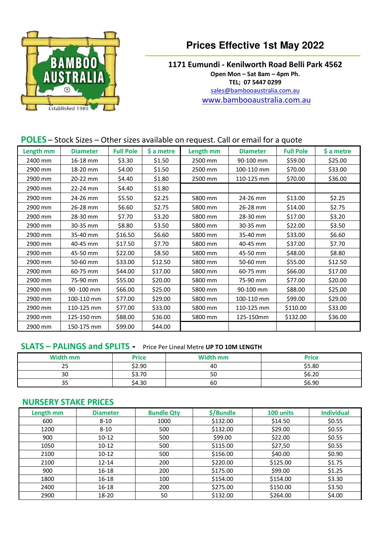

# **Prices Effective 1st May 2022**

1171 Eumundi - Kenilworth Road Belli Park 4562

Open Mon – Sat 8am – 4pm Ph. TEL; 07 5447 0299 sales@bambooaustralia.com.au www.bambooaustralia.com.au

# POLES – Stock Sizes – Other sizes available on request. Call or email for a quote

| Length mm | <b>Diameter</b> | <b>Full Pole</b> | \$ a metre | Length mm | <b>Diameter</b> | <b>Full Pole</b> | \$ a metre |
|-----------|-----------------|------------------|------------|-----------|-----------------|------------------|------------|
| 2400 mm   | 16-18 mm        | \$3.30           | \$1.50     | 2500 mm   | 90-100 mm       | \$59.00          | \$25.00    |
| 2900 mm   | 18-20 mm        | \$4.00           | \$1.50     | 2500 mm   | 100-110 mm      | \$70.00          | \$33.00    |
| 2900 mm   | 20-22 mm        | \$4.40           | \$1.80     | 2500 mm   | 110-125 mm      | \$70.00          | \$36.00    |
| 2900 mm   | 22-24 mm        | \$4.40           | \$1.80     |           |                 |                  |            |
| 2900 mm   | 24-26 mm        | \$5.50           | \$2.25     | 5800 mm   | 24-26 mm        | \$13.00          | \$2.25     |
| 2900 mm   | 26-28 mm        | \$6.60           | \$2.75     | 5800 mm   | 26-28 mm        | \$14.00          | \$2.75     |
| 2900 mm   | 28-30 mm        | \$7.70           | \$3.20     | 5800 mm   | 28-30 mm        | \$17.00          | \$3.20     |
| 2900 mm   | 30-35 mm        | \$8.80           | \$3.50     | 5800 mm   | 30-35 mm        | \$22.00          | \$3.50     |
| 2900 mm   | 35-40 mm        | \$16.50          | \$6.60     | 5800 mm   | 35-40 mm        | \$33.00          | \$6.60     |
| 2900 mm   | 40-45 mm        | \$17.50          | \$7.70     | 5800 mm   | 40-45 mm        | \$37.00          | \$7.70     |
| 2900 mm   | 45-50 mm        | \$22.00          | \$8.50     | 5800 mm   | 45-50 mm        | \$48.00          | \$8.80     |
| 2900 mm   | 50-60 mm        | \$33.00          | \$12.50    | 5800 mm   | 50-60 mm        | \$55.00          | \$12.50    |
| 2900 mm   | 60-75 mm        | \$44.00          | \$17.00    | 5800 mm   | 60-75 mm        | \$66.00          | \$17.00    |
| 2900 mm   | 75-90 mm        | \$55.00          | \$20.00    | 5800 mm   | 75-90 mm        | \$77.00          | \$20.00    |
| 2900 mm   | 90 -100 mm      | \$66.00          | \$25.00    | 5800 mm   | 90-100 mm       | \$88.00          | \$25.00    |
| 2900 mm   | 100-110 mm      | \$77.00          | \$29.00    | 5800 mm   | 100-110 mm      | \$99.00          | \$29.00    |
| 2900 mm   | 110-125 mm      | \$77.00          | \$33.00    | 5800 mm   | 110-125 mm      | \$110.00         | \$33.00    |
| 2900 mm   | 125-150 mm      | \$88.00          | \$36.00    | 5800 mm   | 125-150mm       | \$132.00         | \$36.00    |
| 2900 mm   | 150-175 mm      | \$99.00          | \$44.00    |           |                 |                  |            |

# SLATS – PALINGS and SPLITS **-** Price Per Lineal Metre UP TO 10M LENGTH

| <b>Width mm</b> | <b>Price</b> | Width mm | <b>Price</b> |
|-----------------|--------------|----------|--------------|
| 25              | \$2.90       | 40       | \$5.80       |
| 30              | \$3.70       | 50       | \$6.20       |
| 35              | \$4.30       | 60       | \$6.90       |

## NURSERY STAKE PRICES

| Length mm | <b>Diameter</b> | <b>Bundle Qty</b> | \$/Bundle | 100 units | <b>Individual</b> |
|-----------|-----------------|-------------------|-----------|-----------|-------------------|
| 600       | $8 - 10$        | 1000              | \$132.00  | \$14.50   | \$0.55            |
| 1200      | $8 - 10$        | 500               | \$132.00  | \$29.00   | \$0.55            |
| 900       | $10 - 12$       | 500               | \$99.00   | \$22.00   | \$0.55            |
| 1050      | $10 - 12$       | 500               | \$115.00  | \$27,50   | \$0.55            |
| 2100      | $10 - 12$       | 500               | \$156.00  | \$40.00   | \$0.90            |
| 2100      | $12 - 14$       | 200               | \$220.00  | \$125.00  | \$1.75            |
| 900       | 16-18           | 200               | \$175.00  | \$99.00   | \$1.25            |
| 1800      | $16 - 18$       | 100               | \$154.00  | \$154.00  | \$3.30            |
| 2400      | $16 - 18$       | 200               | \$275.00  | \$150.00  | \$3.50            |
| 2900      | 18-20           | 50                | \$132.00  | \$264.00  | \$4.00            |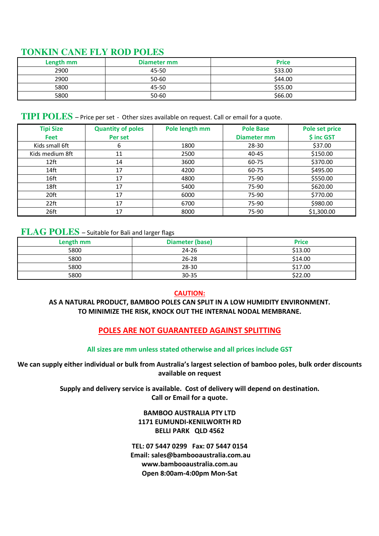# **TONKIN CANE FLY ROD POLES**

| Length mm | Diameter mm | <b>Price</b> |
|-----------|-------------|--------------|
| 2900      | 45-50       | \$33.00      |
| 2900      | $50 - 60$   | \$44.00      |
| 5800      | 45-50       | \$55.00      |
| 5800      | $50 - 60$   | \$66.00      |

## **TIPI POLES** – Price per set - Other sizes available on request. Call or email for a quote.

| <b>Tipi Size</b> | <b>Quantity of poles</b> | Pole length mm | <b>Pole Base</b> | <b>Pole set price</b> |
|------------------|--------------------------|----------------|------------------|-----------------------|
| <b>Feet</b>      | Per set                  |                | Diameter mm      | \$ inc GST            |
| Kids small 6ft   | 6                        | 1800           | 28-30            | \$37.00               |
| Kids medium 8ft  | 11                       | 2500           | 40-45            | \$150.00              |
| 12 <sup>ft</sup> | 14                       | 3600           | 60-75            | \$370.00              |
| 14ft             | 17                       | 4200           | 60-75            | \$495.00              |
| 16ft             | 17                       | 4800           | 75-90            | \$550.00              |
| 18ft             | 17                       | 5400           | 75-90            | \$620.00              |
| 20ft             | 17                       | 6000           | 75-90            | \$770.00              |
| 22ft             | 17                       | 6700           | 75-90            | \$980.00              |
| 26ft             | 17                       | 8000           | 75-90            | \$1,300.00            |

# **FLAG POLES** – Suitable for Bali and larger flags

| Length mm | Diameter (base) | <b>Price</b> |
|-----------|-----------------|--------------|
| 5800      | $24 - 26$       | \$13.00      |
| 5800      | $26 - 28$       | \$14.00      |
| 5800      | 28-30           | \$17.00      |
| 5800      | $30 - 35$       | \$22.00      |

#### CAUTION:

## AS A NATURAL PRODUCT, BAMBOO POLES CAN SPLIT IN A LOW HUMIDITY ENVIRONMENT. TO MINIMIZE THE RISK, KNOCK OUT THE INTERNAL NODAL MEMBRANE.

## POLES ARE NOT GUARANTEED AGAINST SPLITTING

#### All sizes are mm unless stated otherwise and all prices include GST

We can supply either individual or bulk from Australia's largest selection of bamboo poles, bulk order discounts available on request

> Supply and delivery service is available. Cost of delivery will depend on destination. Call or Email for a quote.

#### BAMBOO AUSTRALIA PTY LTD 1171 EUMUNDI-KENILWORTH RD BELLI PARK QLD 4562

TEL: 07 5447 0299 Fax: 07 5447 0154 Email: sales@bambooaustralia.com.au www.bambooaustralia.com.au Open 8:00am-4:00pm Mon-Sat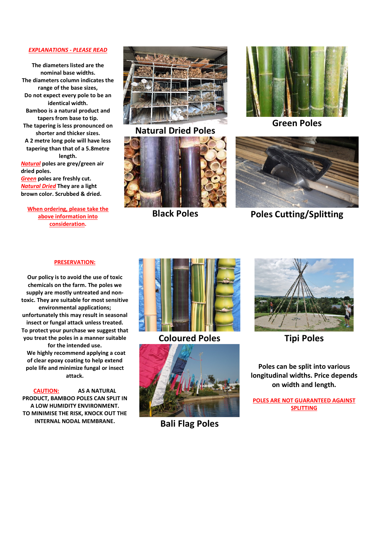#### EXPLANATIONS - PLEASE READ

The diameters listed are the nominal base widths. The diameters column indicates the range of the base sizes, Do not expect every pole to be an identical width. Bamboo is a natural product and tapers from base to tip. The tapering is less pronounced on shorter and thicker sizes. A 2 metre long pole will have less tapering than that of a 5.8metre length. Natural poles are grey/green air dried poles.

Green poles are freshly cut. Natural Dried They are a light brown color. Scrubbed & dried.

When ordering, please take the above information into consideration.



Natural Dried Poles





Green Poles



Black Poles Poles Cutting/Splitting

#### PRESERVATION:

Our policy is to avoid the use of toxic chemicals on the farm. The poles we supply are mostly untreated and nontoxic. They are suitable for most sensitive environmental applications; unfortunately this may result in seasonal insect or fungal attack unless treated. To protect your purchase we suggest that you treat the poles in a manner suitable for the intended use. We highly recommend applying a coat of clear epoxy coating to help extend pole life and minimize fungal or insect attack.

CAUTION: AS A NATURAL PRODUCT, BAMBOO POLES CAN SPLIT IN A LOW HUMIDITY ENVIRONMENT. TO MINIMISE THE RISK, KNOCK OUT THE INTERNAL NODAL MEMBRANE.



Coloured Poles Tipi Poles



Bali Flag Poles



Poles can be split into various longitudinal widths. Price depends on width and length.

POLES ARE NOT GUARANTEED AGAINST **SPLITTING**